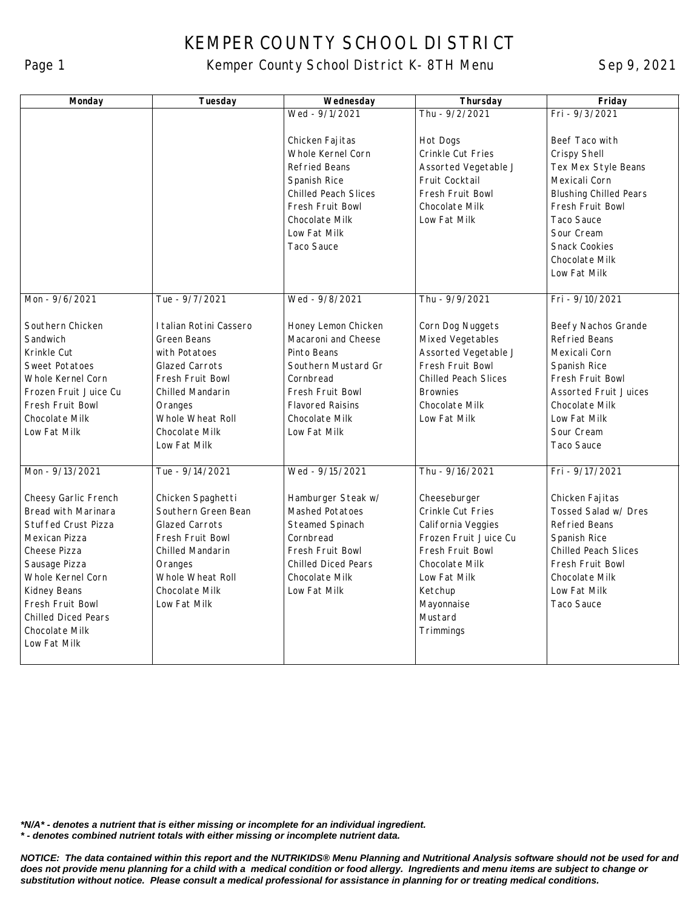# KEMPER COUNTY SCHOOL DISTRICT

### Page 1 Kemper County School District K- 8TH Menu Sep 9, 2021

| Monday                                                                                                                                                                                                                                                           | Tuesday                                                                                                                                                                                              | Wednesday                                                                                                                                                                              | Thursday                                                                                                                                                                                                   | Friday                                                                                                                                                                                                              |
|------------------------------------------------------------------------------------------------------------------------------------------------------------------------------------------------------------------------------------------------------------------|------------------------------------------------------------------------------------------------------------------------------------------------------------------------------------------------------|----------------------------------------------------------------------------------------------------------------------------------------------------------------------------------------|------------------------------------------------------------------------------------------------------------------------------------------------------------------------------------------------------------|---------------------------------------------------------------------------------------------------------------------------------------------------------------------------------------------------------------------|
|                                                                                                                                                                                                                                                                  |                                                                                                                                                                                                      | Wed - 9/1/2021                                                                                                                                                                         | Thu - 9/2/2021                                                                                                                                                                                             | Fri - 9/3/2021                                                                                                                                                                                                      |
|                                                                                                                                                                                                                                                                  |                                                                                                                                                                                                      | Chicken Fajitas<br>Whole Kernel Corn<br><b>Refried Beans</b><br>Spanish Rice<br><b>Chilled Peach Slices</b><br>Fresh Fruit Bowl<br>Chocolate Milk<br>Low Fat Milk<br><b>Taco Sauce</b> | Hot Dogs<br>Crinkle Cut Fries<br>Assorted Vegetable J<br>Fruit Cocktail<br>Fresh Fruit Bowl<br>Chocolate Milk<br>Low Fat Milk                                                                              | Beef Taco with<br>Crispy Shell<br>Tex Mex Style Beans<br>Mexicali Corn<br><b>Blushing Chilled Pears</b><br>Fresh Fruit Bowl<br>Taco Sauce<br>Sour Cream<br><b>Snack Cookies</b><br>Chocolate Milk<br>Low Fat Milk   |
| Mon - 9/6/2021                                                                                                                                                                                                                                                   | Tue - 9/7/2021                                                                                                                                                                                       | Wed - 9/8/2021                                                                                                                                                                         | Thu - 9/9/2021                                                                                                                                                                                             | Fri - 9/10/2021                                                                                                                                                                                                     |
| Southern Chicken<br>Sandwich<br>Krinkle Cut<br>Sweet Potatoes<br>Whole Kernel Corn<br>Frozen Fruit Juice Cu<br>Fresh Fruit Bowl<br>Chocolate Milk<br>Low Fat Milk                                                                                                | I talian Rotini Cassero<br><b>Green Beans</b><br>with Potatoes<br>Glazed Carrots<br>Fresh Fruit Bowl<br>Chilled Mandarin<br>Oranges<br>Whole Wheat Roll<br>Chocolate Milk<br>Low Fat Milk            | Honey Lemon Chicken<br>Macaroni and Cheese<br>Pinto Beans<br>Southern Mustard Gr<br>Cornbread<br>Fresh Fruit Bowl<br><b>Flavored Raisins</b><br>Chocolate Milk<br>Low Fat Milk         | Corn Dog Nuggets<br>Mixed Vegetables<br>Assorted Vegetable J<br>Fresh Fruit Bowl<br><b>Chilled Peach Slices</b><br><b>Brownies</b><br>Chocolate Milk<br>Low Fat Milk                                       | Beefy Nachos Grande<br><b>Refried Beans</b><br>Mexicali Corn<br>Spanish Rice<br><b>Fresh Fruit Bowl</b><br><b>Assorted Fruit Juices</b><br>Chocolate Milk<br>Low Fat Milk<br>Sour Cream<br>Taco Sauce               |
| Mon - 9/13/2021<br>Cheesy Garlic French<br>Bread with Marinara<br>Stuffed Crust Pizza<br>Mexican Pizza<br>Cheese Pizza<br>Sausage Pizza<br>Whole Kernel Corn<br>Kidney Beans<br>Fresh Fruit Bowl<br><b>Chilled Diced Pears</b><br>Chocolate Milk<br>Low Fat Milk | Tue - 9/14/2021<br>Chicken Spaghetti<br>Southern Green Bean<br>Glazed Carrots<br><b>Fresh Fruit Bowl</b><br><b>Chilled Mandarin</b><br>Oranges<br>Whole Wheat Roll<br>Chocolate Milk<br>Low Fat Milk | Wed - 9/15/2021<br>Hamburger Steak w/<br>Mashed Potatoes<br>Steamed Spinach<br>Cornbread<br><b>Fresh Fruit Bowl</b><br><b>Chilled Diced Pears</b><br>Chocolate Milk<br>Low Fat Milk    | Thu - 9/16/2021<br>Cheeseburger<br>Crinkle Cut Fries<br>California Veggies<br>Frozen Fruit Juice Cu<br>Fresh Fruit Bowl<br>Chocolate Milk<br>Low Fat Milk<br>Ketchup<br>Mayonnaise<br>Mustard<br>Trimmings | Fri - 9/17/2021<br>Chicken Fajitas<br>Tossed Salad w/ Dres<br><b>Refried Beans</b><br>Spanish Rice<br><b>Chilled Peach Slices</b><br><b>Fresh Fruit Bowl</b><br>Chocolate Milk<br>Low Fat Milk<br><b>Taco Sauce</b> |

*\*N/A\* - denotes a nutrient that is either missing or incomplete for an individual ingredient. \* - denotes combined nutrient totals with either missing or incomplete nutrient data.*

*NOTICE: The data contained within this report and the NUTRIKIDS® Menu Planning and Nutritional Analysis software should not be used for and does not provide menu planning for a child with a medical condition or food allergy. Ingredients and menu items are subject to change or substitution without notice. Please consult a medical professional for assistance in planning for or treating medical conditions.*